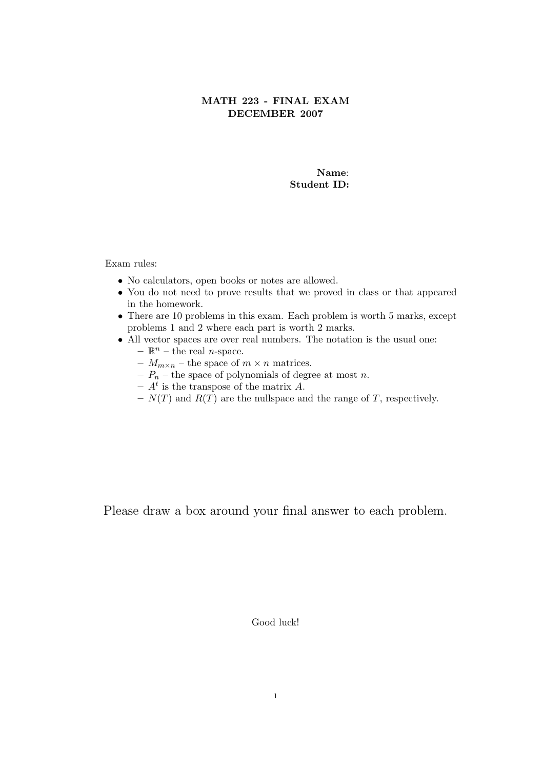## MATH 223 - FINAL EXAM DECEMBER 2007

## Name: Student ID:

Exam rules:

- No calculators, open books or notes are allowed.
- You do not need to prove results that we proved in class or that appeared in the homework.
- There are 10 problems in this exam. Each problem is worth 5 marks, except problems 1 and 2 where each part is worth 2 marks.
- All vector spaces are over real numbers. The notation is the usual one:
	- $\mathbb{R}^n$  the real *n*-space.
	- $M_{m \times n}$  the space of  $m \times n$  matrices.
	- $P_n$  the space of polynomials of degree at most n.
	- $A<sup>t</sup>$  is the transpose of the matrix A.
	- $N(T)$  and  $R(T)$  are the nullspace and the range of T, respectively.

Please draw a box around your final answer to each problem.

Good luck!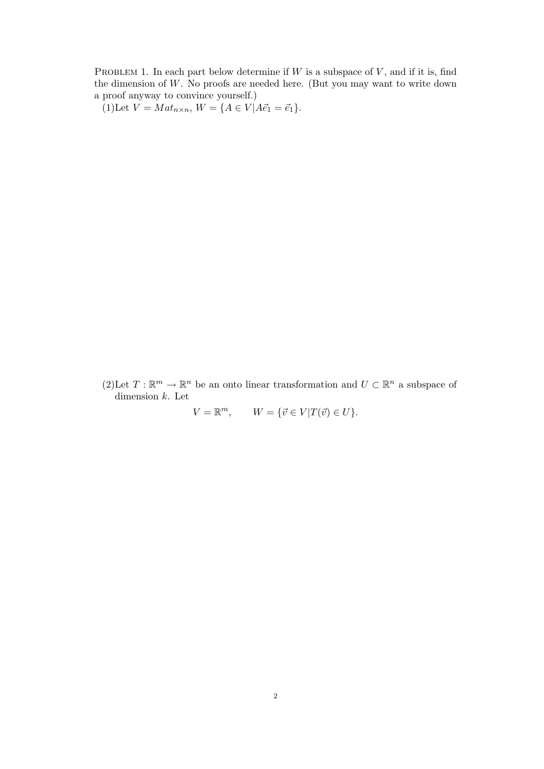PROBLEM 1. In each part below determine if  $W$  is a subspace of  $V$ , and if it is, find the dimension of  $W$ . No proofs are needed here. (But you may want to write down a proof anyway to convince yourself.)

(1)Let  $V = Mat_{n \times n}$ ,  $W = \{A \in V | A \vec{e}_1 = \vec{e}_1\}.$ 

(2)Let  $T: \mathbb{R}^m \to \mathbb{R}^n$  be an onto linear transformation and  $U \subset \mathbb{R}^n$  a subspace of dimension  $k$ . Let

$$
V = \mathbb{R}^m, \qquad W = \{ \vec{v} \in V | T(\vec{v}) \in U \}.
$$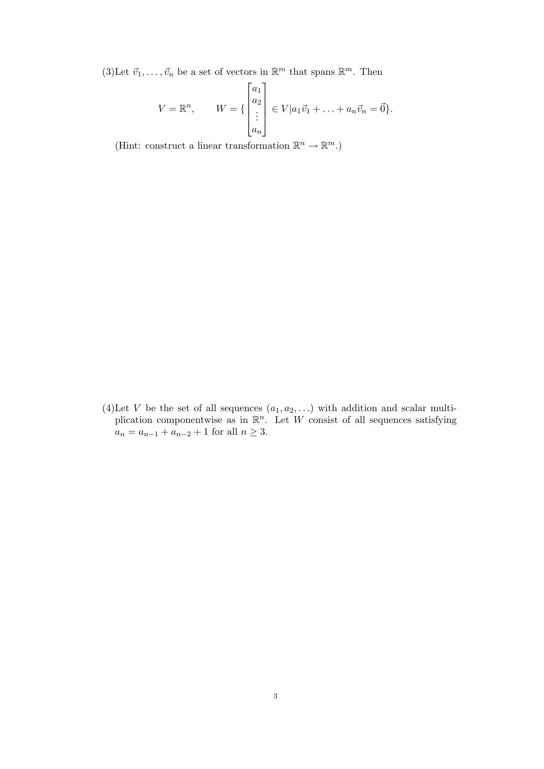(3) Let  $\vec{v}_1, \ldots, \vec{v}_n$  be a set of vectors in  $\mathbb{R}^m$  that spans  $\mathbb{R}^m$ . Then

$$
V = \mathbb{R}^n, \qquad W = \begin{Bmatrix} a_1 \\ a_2 \\ \vdots \\ a_n \end{Bmatrix} \in V | a_1 \vec{v}_1 + \ldots + a_n \vec{v}_n = \vec{0} \}.
$$

(Hint: construct a linear transformation  $\mathbb{R}^n \to \mathbb{R}^m$ .)

(4)Let V be the set of all sequences  $(a_1, a_2, \ldots)$  with addition and scalar multiplication componentwise as in  $\mathbb{R}^n$ . Let W consist of all sequences satisfying  $a_n = a_{n-1} + a_{n-2} + 1$  for all  $n \geq 3$ .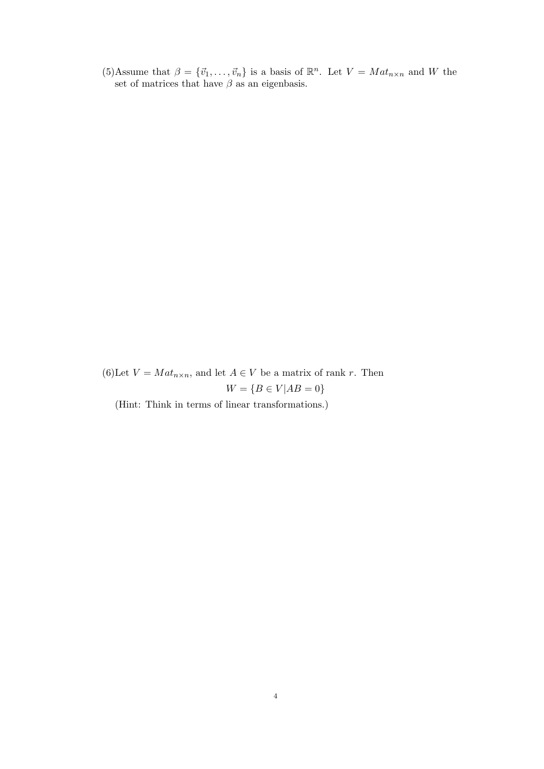(5)Assume that  $\beta = {\vec{v_1}, \dots, \vec{v_n}}$  is a basis of  $\mathbb{R}^n$ . Let  $V = Mat_{n \times n}$  and W the set of matrices that have  $\beta$  as an eigenbasis.

(6)Let  $V = Mat_{n \times n}$ , and let  $A \in V$  be a matrix of rank r. Then  $W = {B \in V | AB = 0}$ 

(Hint: Think in terms of linear transformations.)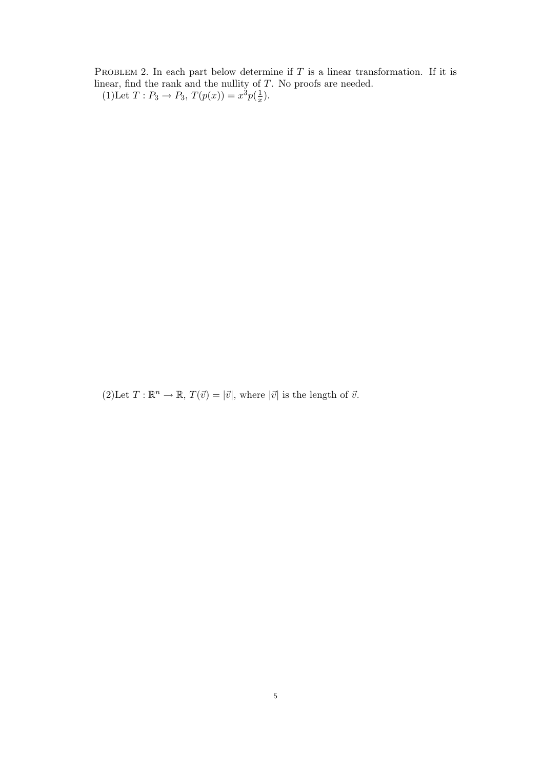PROBLEM 2. In each part below determine if  $T$  is a linear transformation. If it is linear, find the rank and the nullity of T. No proofs are needed. (1)Let  $T: P_3 \to P_3$ ,  $T(p(x)) = x^3 p(\frac{1}{x})$  $(\frac{1}{x})$ .

 $(2)$ Let  $T : \mathbb{R}^n \to \mathbb{R}, T(\vec{v}) = |\vec{v}|$ , where  $|\vec{v}|$  is the length of  $\vec{v}$ .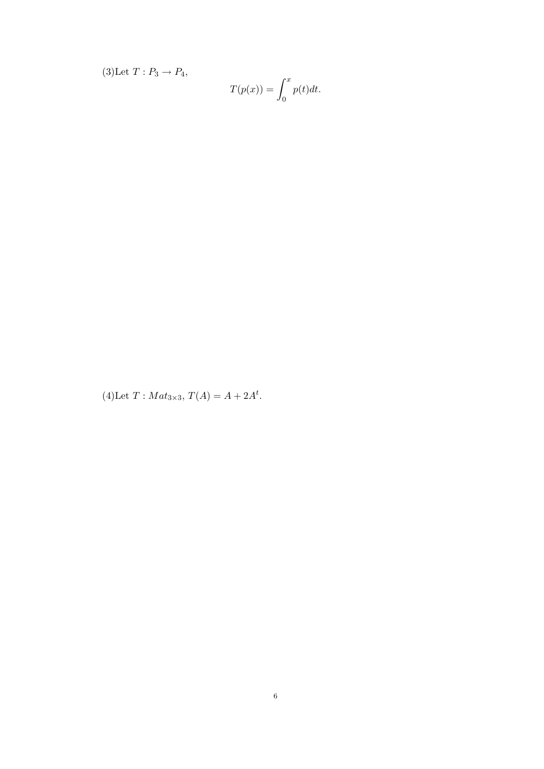(3)Let  $T : P_3 \to P_4$ ,

$$
T(p(x)) = \int_0^x p(t)dt.
$$

(4)Let  $T: Mat_{3\times 3}$ ,  $T(A) = A + 2A^t$ .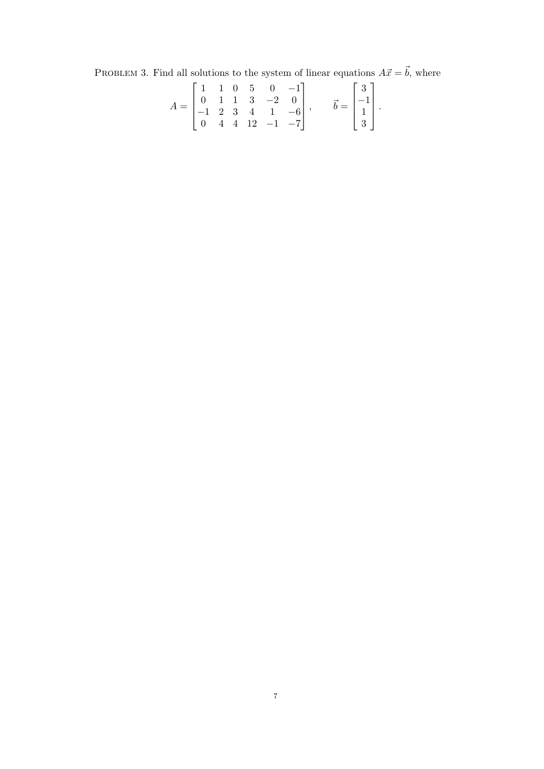PROBLEM 3. Find all solutions to the system of linear equations  $A\vec{x} = \vec{b}$ , where

$$
A = \begin{bmatrix} 1 & 1 & 0 & 5 & 0 & -1 \\ 0 & 1 & 1 & 3 & -2 & 0 \\ -1 & 2 & 3 & 4 & 1 & -6 \\ 0 & 4 & 4 & 12 & -1 & -7 \end{bmatrix}, \qquad \vec{b} = \begin{bmatrix} 3 \\ -1 \\ 1 \\ 3 \end{bmatrix}.
$$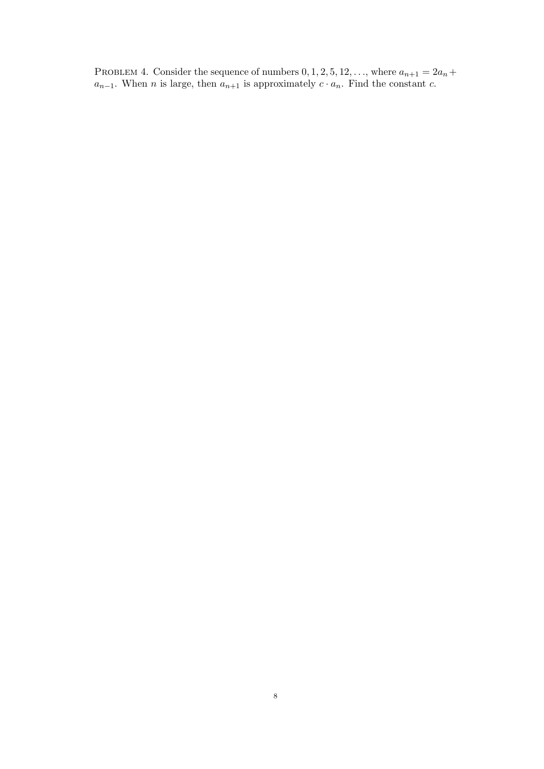PROBLEM 4. Consider the sequence of numbers  $0, 1, 2, 5, 12, \ldots$ , where  $a_{n+1} = 2a_n +$  $a_{n-1}$ . When n is large, then  $a_{n+1}$  is approximately  $c \cdot a_n$ . Find the constant c.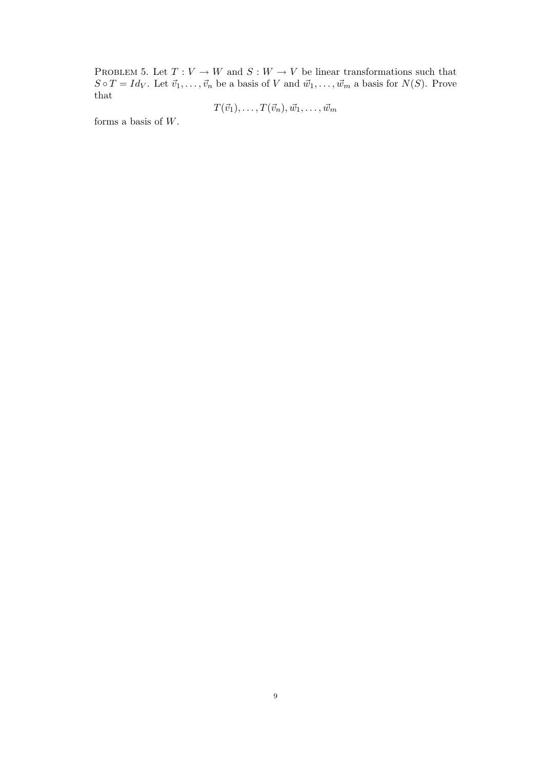PROBLEM 5. Let  $T: V \to W$  and  $S: W \to V$  be linear transformations such that  $S \circ T = Id_V$ . Let  $\vec{v}_1, \ldots, \vec{v}_n$  be a basis of V and  $\vec{w}_1, \ldots, \vec{w}_m$  a basis for  $N(S)$ . Prove that

$$
T(\vec{v}_1),\ldots,T(\vec{v}_n),\vec{w}_1,\ldots,\vec{w}_m
$$

forms a basis of  $W$ .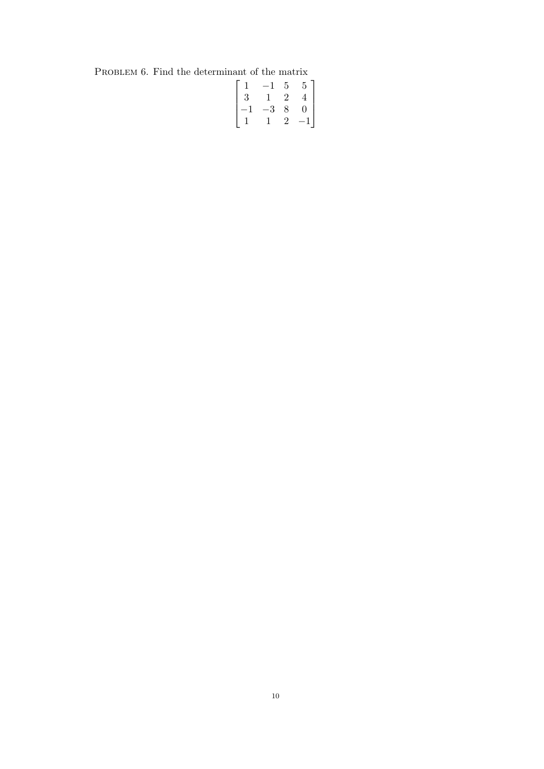| PROBLEM 6. Find the determinant of the matrix |  |  |  |
|-----------------------------------------------|--|--|--|
|                                               |  |  |  |

| $\vert$ 1  | $-1$         | 5              | 5 <sup>1</sup> |
|------------|--------------|----------------|----------------|
| 3          | $\mathbf{1}$ | $\overline{2}$ | $\overline{4}$ |
| $\vert -1$ | $-3$         | 8              | 0 <sup>1</sup> |
| $\vert$ 1  | $\mathbf{1}$ | $\overline{2}$ | $-1$           |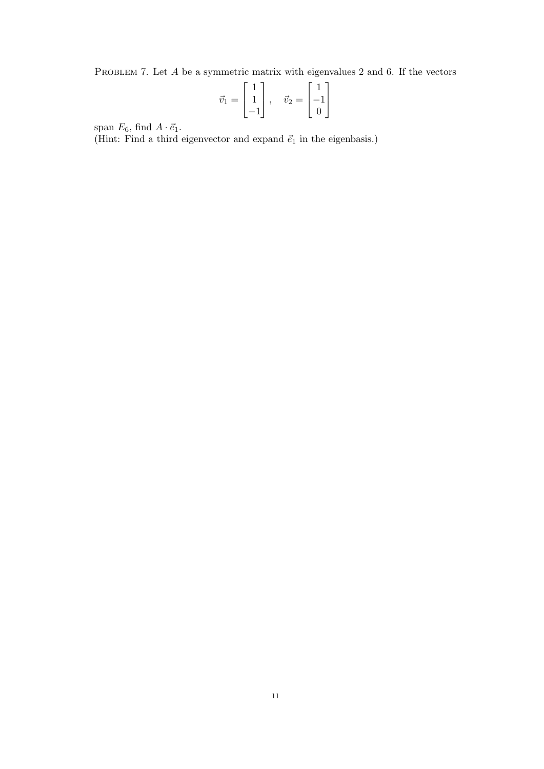PROBLEM 7. Let A be a symmetric matrix with eigenvalues 2 and 6. If the vectors

$$
\vec{v}_1 = \begin{bmatrix} 1 \\ 1 \\ -1 \end{bmatrix}, \quad \vec{v}_2 = \begin{bmatrix} 1 \\ -1 \\ 0 \end{bmatrix}
$$

span  $E_6$ , find  $A \cdot \vec{e}_1$ .

(Hint: Find a third eigenvector and expand  $\vec{e}_1$  in the eigenbasis.)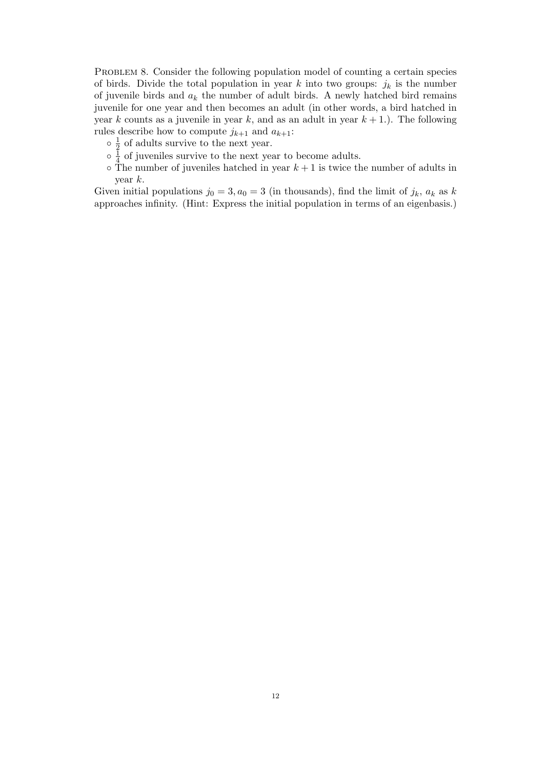PROBLEM 8. Consider the following population model of counting a certain species of birds. Divide the total population in year k into two groups:  $j_k$  is the number of juvenile birds and  $a_k$  the number of adult birds. A newly hatched bird remains juvenile for one year and then becomes an adult (in other words, a bird hatched in year k counts as a juvenile in year k, and as an adult in year  $k + 1$ .). The following rules describe how to compute  $j_{k+1}$  and  $a_{k+1}$ :

- $\circ$   $\frac{1}{2}$  $\frac{1}{2}$  of adults survive to the next year.
- $\circ$   $\frac{1}{4}$  $\frac{1}{4}$  of juveniles survive to the next year to become adults.
- $\circ$  The number of juveniles hatched in year  $k+1$  is twice the number of adults in year k.

Given initial populations  $j_0 = 3, a_0 = 3$  (in thousands), find the limit of  $j_k$ ,  $a_k$  as k approaches infinity. (Hint: Express the initial population in terms of an eigenbasis.)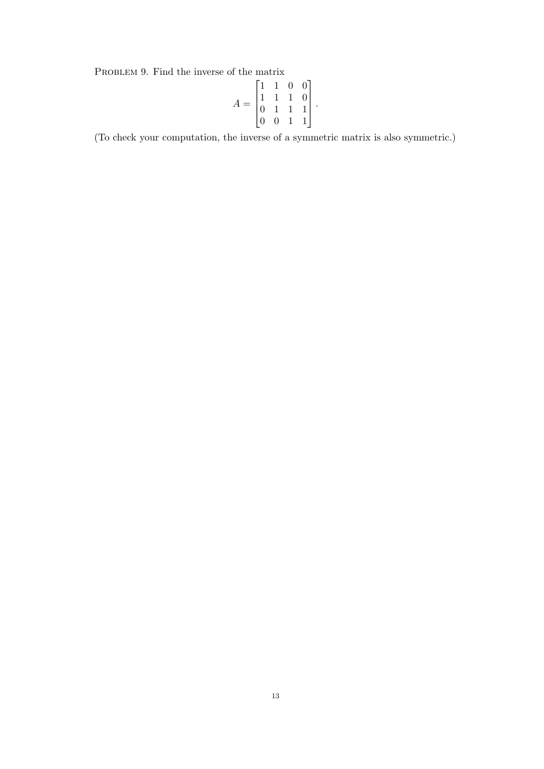PROBLEM 9. Find the inverse of the matrix

$$
A = \begin{bmatrix} 1 & 1 & 0 & 0 \\ 1 & 1 & 1 & 0 \\ 0 & 1 & 1 & 1 \\ 0 & 0 & 1 & 1 \end{bmatrix}.
$$

(To check your computation, the inverse of a symmetric matrix is also symmetric.)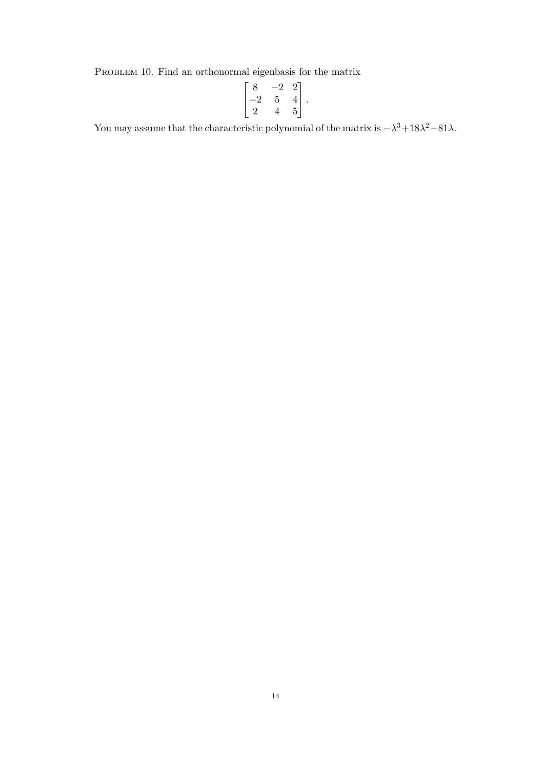PROBLEM 10. Find an orthonormal eigenbasis for the matrix

$$
\begin{bmatrix} 8 & -2 & 2 \ -2 & 5 & 4 \ 2 & 4 & 5 \end{bmatrix}.
$$

You may assume that the characteristic polynomial of the matrix is  $-\lambda^3 + 18\lambda^2 - 81\lambda$ .